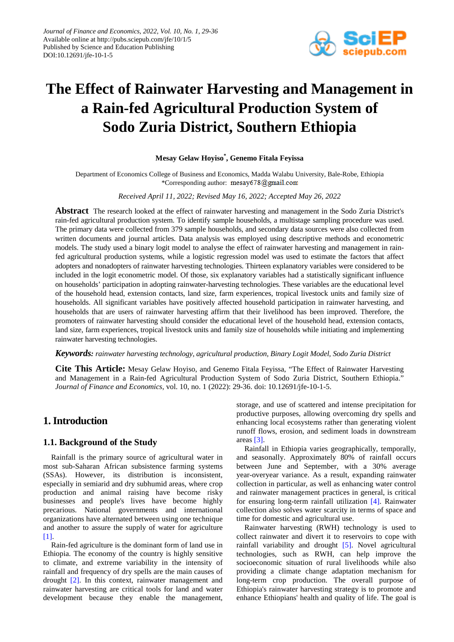

# **The Effect of Rainwater Harvesting and Management in a Rain-fed Agricultural Production System of Sodo Zuria District, Southern Ethiopia**

## **Mesay Gelaw Hoyiso\* , Genemo Fitala Feyissa**

Department of Economics College of Business and Economics, Madda Walabu University, Bale-Robe, Ethiopia \*Corresponding author: mesay678@gmail.com

#### *Received April 11, 2022; Revised May 16, 2022; Accepted May 26, 2022*

**Abstract** The research looked at the effect of rainwater harvesting and management in the Sodo Zuria District's rain-fed agricultural production system. To identify sample households, a multistage sampling procedure was used. The primary data were collected from 379 sample households, and secondary data sources were also collected from written documents and journal articles. Data analysis was employed using descriptive methods and econometric models. The study used a binary logit model to analyse the effect of rainwater harvesting and management in rainfed agricultural production systems, while a logistic regression model was used to estimate the factors that affect adopters and nonadopters of rainwater harvesting technologies. Thirteen explanatory variables were considered to be included in the logit econometric model. Of those, six explanatory variables had a statistically significant influence on households' participation in adopting rainwater-harvesting technologies. These variables are the educational level of the household head, extension contacts, land size, farm experiences, tropical livestock units and family size of households. All significant variables have positively affected household participation in rainwater harvesting, and households that are users of rainwater harvesting affirm that their livelihood has been improved. Therefore, the promoters of rainwater harvesting should consider the educational level of the household head, extension contacts, land size, farm experiences, tropical livestock units and family size of households while initiating and implementing rainwater harvesting technologies.

## *Keywords: rainwater harvesting technology, agricultural production, Binary Logit Model, Sodo Zuria District*

**Cite This Article:** Mesay Gelaw Hoyiso, and Genemo Fitala Feyissa, "The Effect of Rainwater Harvesting and Management in a Rain-fed Agricultural Production System of Sodo Zuria District, Southern Ethiopia." *Journal of Finance and Economics*, vol. 10, no. 1 (2022): 29-36. doi: 10.12691/jfe-10-1-5.

# **1. Introduction**

## **1.1. Background of the Study**

Rainfall is the primary source of agricultural water in most sub-Saharan African subsistence farming systems (SSAs). However, its distribution is inconsistent, especially in semiarid and dry subhumid areas, where crop production and animal raising have become risky businesses and people's lives have become highly precarious. National governments and international organizations have alternated between using one technique and another to assure the supply of water for agriculture [\[1\].](#page-7-0)

Rain-fed agriculture is the dominant form of land use in Ethiopia. The economy of the country is highly sensitive to climate, and extreme variability in the intensity of rainfall and frequency of dry spells are the main causes of drought [\[2\].](#page-7-1) In this context, rainwater management and rainwater harvesting are critical tools for land and water development because they enable the management, storage, and use of scattered and intense precipitation for productive purposes, allowing overcoming dry spells and enhancing local ecosystems rather than generating violent runoff flows, erosion, and sediment loads in downstream areas [\[3\].](#page-7-2)

Rainfall in Ethiopia varies geographically, temporally, and seasonally. Approximately 80% of rainfall occurs between June and September, with a 30% average year-overyear variance. As a result, expanding rainwater collection in particular, as well as enhancing water control and rainwater management practices in general, is critical for ensuring long-term rainfall utilization [\[4\].](#page-7-3) Rainwater collection also solves water scarcity in terms of space and time for domestic and agricultural use.

Rainwater harvesting (RWH) technology is used to collect rainwater and divert it to reservoirs to cope with rainfall variability and drought [\[5\].](#page-7-4) Novel agricultural technologies, such as RWH, can help improve the socioeconomic situation of rural livelihoods while also providing a climate change adaptation mechanism for long-term crop production. The overall purpose of Ethiopia's rainwater harvesting strategy is to promote and enhance Ethiopians' health and quality of life. The goal is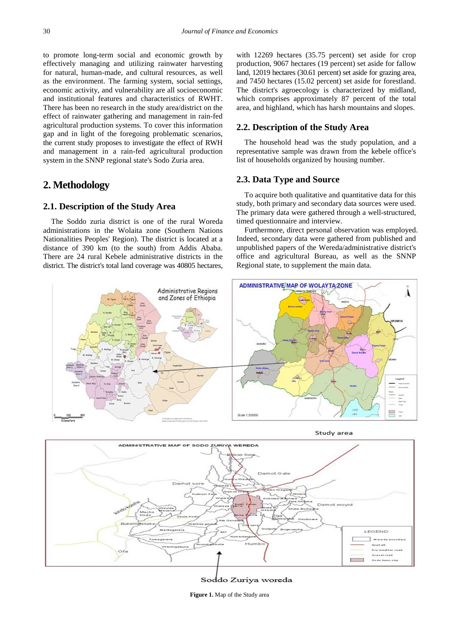to promote long-term social and economic growth by effectively managing and utilizing rainwater harvesting for natural, human-made, and cultural resources, as well as the environment. The farming system, social settings, economic activity, and vulnerability are all socioeconomic and institutional features and characteristics of RWHT. There has been no research in the study area/district on the effect of rainwater gathering and management in rain-fed agricultural production systems. To cover this information gap and in light of the foregoing problematic scenarios, the current study proposes to investigate the effect of RWH and management in a rain-fed agricultural production system in the SNNP regional state's Sodo Zuria area.

# **2. Methodology**

## **2.1. Description of the Study Area**

The Soddo zuria district is one of the rural Woreda administrations in the Wolaita zone (Southern Nations Nationalities Peoples' Region). The district is located at a distance of 390 km (to the south) from Addis Ababa. There are 24 rural Kebele administrative districts in the district. The district's total land coverage was 40805 hectares,

with 12269 hectares (35.75 percent) set aside for crop production, 9067 hectares (19 percent) set aside for fallow land, 12019 hectares (30.61 percent) set aside for grazing area, and 7450 hectares (15.02 percent) set aside for forestland. The district's agroecology is characterized by midland, which comprises approximately 87 percent of the total area, and highland, which has harsh mountains and slopes.

#### **2.2. Description of the Study Area**

The household head was the study population, and a representative sample was drawn from the kebele office's list of households organized by housing number.

## **2.3. Data Type and Source**

To acquire both qualitative and quantitative data for this study, both primary and secondary data sources were used. The primary data were gathered through a well-structured, timed questionnaire and interview.

Furthermore, direct personal observation was employed. Indeed, secondary data were gathered from published and unpublished papers of the Wereda/administrative district's office and agricultural Bureau, as well as the SNNP Regional state, to supplement the main data.



Study area



Soddo Zuriya woreda

**Figure 1.** Map of the Study area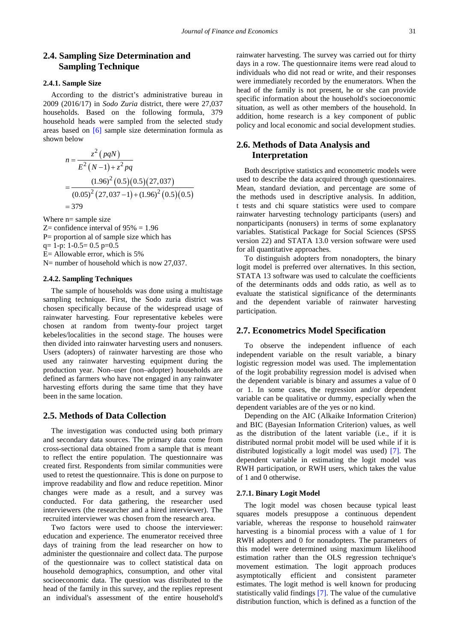# **2.4. Sampling Size Determination and Sampling Technique**

#### **2.4.1. Sample Size**

According to the district's administrative bureau in 2009 (2016/17) in *Sodo Zuria* district, there were 27,037 households. Based on the following formula, 379 household heads were sampled from the selected study areas based on [\[6\]](#page-7-5) sample size determination formula as shown below

$$
n = \frac{z^2 (pqN)}{E^2 (N-1) + z^2 pq}
$$
  
= 
$$
\frac{(1.96)^2 (0.5)(0.5)(27,037)}{(0.05)^2 (27,037-1) + (1.96)^2 (0.5)(0.5)}
$$
  
= 379

Where n= sample size

 $Z=$  confidence interval of 95% = 1.96

P= proportion al of sample size which has

 $q= 1-p$ :  $1-0.5= 0.5 p=0.5$ 

E= Allowable error, which is 5%

N= number of household which is now 27,037.

#### **2.4.2. Sampling Techniques**

The sample of households was done using a multistage sampling technique. First, the Sodo zuria district was chosen specifically because of the widespread usage of rainwater harvesting. Four representative kebeles were chosen at random from twenty-four project target kebeles/localities in the second stage. The houses were then divided into rainwater harvesting users and nonusers. Users (adopters) of rainwater harvesting are those who used any rainwater harvesting equipment during the production year. Non–user (non–adopter) households are defined as farmers who have not engaged in any rainwater harvesting efforts during the same time that they have been in the same location.

## **2.5. Methods of Data Collection**

The investigation was conducted using both primary and secondary data sources. The primary data come from cross-sectional data obtained from a sample that is meant to reflect the entire population. The questionnaire was created first. Respondents from similar communities were used to retest the questionnaire. This is done on purpose to improve readability and flow and reduce repetition. Minor changes were made as a result, and a survey was conducted. For data gathering, the researcher used interviewers (the researcher and a hired interviewer). The recruited interviewer was chosen from the research area.

Two factors were used to choose the interviewer: education and experience. The enumerator received three days of training from the lead researcher on how to administer the questionnaire and collect data. The purpose of the questionnaire was to collect statistical data on household demographics, consumption, and other vital socioeconomic data. The question was distributed to the head of the family in this survey, and the replies represent an individual's assessment of the entire household's

rainwater harvesting. The survey was carried out for thirty days in a row. The questionnaire items were read aloud to individuals who did not read or write, and their responses were immediately recorded by the enumerators. When the head of the family is not present, he or she can provide specific information about the household's socioeconomic situation, as well as other members of the household. In addition, home research is a key component of public policy and local economic and social development studies.

## **2.6. Methods of Data Analysis and Interpretation**

Both descriptive statistics and econometric models were used to describe the data acquired through questionnaires. Mean, standard deviation, and percentage are some of the methods used in descriptive analysis. In addition, t tests and chi square statistics were used to compare rainwater harvesting technology participants (users) and nonparticipants (nonusers) in terms of some explanatory variables. Statistical Package for Social Sciences (SPSS version 22) and STATA 13.0 version software were used for all quantitative approaches.

To distinguish adopters from nonadopters, the binary logit model is preferred over alternatives. In this section, STATA 13 software was used to calculate the coefficients of the determinants odds and odds ratio, as well as to evaluate the statistical significance of the determinants and the dependent variable of rainwater harvesting participation.

## **2.7. Econometrics Model Specification**

To observe the independent influence of each independent variable on the result variable, a binary logistic regression model was used. The implementation of the logit probability regression model is advised when the dependent variable is binary and assumes a value of 0 or 1. In some cases, the regression and/or dependent variable can be qualitative or dummy, especially when the dependent variables are of the yes or no kind.

Depending on the AIC (Alkaike Information Criterion) and BIC (Bayesian Information Criterion) values, as well as the distribution of the latent variable (i.e., if it is distributed normal probit model will be used while if it is distributed logistically a logit model was used) [\[7\].](#page-7-6) The dependent variable in estimating the logit model was RWH participation, or RWH users, which takes the value of 1 and 0 otherwise.

#### **2.7.1. Binary Logit Model**

The logit model was chosen because typical least squares models presuppose a continuous dependent variable, whereas the response to household rainwater harvesting is a binomial process with a value of 1 for RWH adopters and 0 for nonadopters. The parameters of this model were determined using maximum likelihood estimation rather than the OLS regression technique's movement estimation. The logit approach produces asymptotically efficient and consistent parameter estimates. The logit method is well known for producing statistically valid findings [\[7\].](#page-7-6) The value of the cumulative distribution function, which is defined as a function of the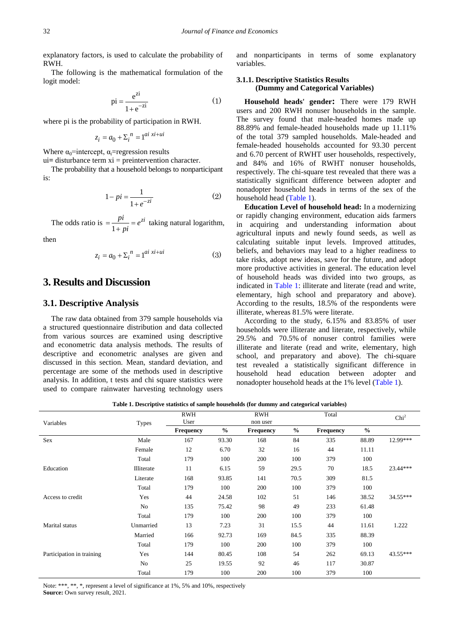explanatory factors, is used to calculate the probability of RWH.

The following is the mathematical formulation of the logit model:

$$
pi = \frac{e^{zi}}{1 + e^{-zi}} \tag{1}
$$

where pi is the probability of participation in RWH.

$$
z_i = a_0 + \sum_{i=1}^{n} a_i x_i + u_i
$$

Where  $\alpha_0$ =intercept,  $\alpha_i$ =regression results

ui**=** disturbance term xi = preintervention character.

The probability that a household belongs to nonparticipant is:

$$
1 - pi = \frac{1}{1 + e^{-zi}}\tag{2}
$$

The odds ratio is  $=$   $\frac{pi}{1 + pi} = e^{zi}$  taking natural logarithm,

then

$$
z_i = a_0 + \sum_{i=1}^{n} 1^{ai\ xi+ui} \tag{3}
$$

# **3. Results and Discussion**

## **3.1. Descriptive Analysis**

The raw data obtained from 379 sample households via a structured questionnaire distribution and data collected from various sources are examined using descriptive and econometric data analysis methods. The results of descriptive and econometric analyses are given and discussed in this section. Mean, standard deviation, and percentage are some of the methods used in descriptive analysis. In addition, t tests and chi square statistics were used to compare rainwater harvesting technology users and nonparticipants in terms of some explanatory variables.

#### **3.1.1. Descriptive Statistics Results (Dummy and Categorical Variables)**

**Household heads' gender:** There were 179 RWH users and 200 RWH nonuser households in the sample. The survey found that male-headed homes made up 88.89% and female-headed households made up 11.11% of the total 379 sampled households. Male-headed and female-headed households accounted for 93.30 percent and 6.70 percent of RWHT user households, respectively, and 84% and 16% of RWHT nonuser households, respectively. The chi-square test revealed that there was a statistically significant difference between adopter and nonadopter household heads in terms of the sex of the household head [\(Table 1\)](#page-3-0).

**Education Level of household head:** In a modernizing or rapidly changing environment, education aids farmers in acquiring and understanding information about agricultural inputs and newly found seeds, as well as calculating suitable input levels. Improved attitudes, beliefs, and behaviors may lead to a higher readiness to take risks, adopt new ideas, save for the future, and adopt more productive activities in general. The education level of household heads was divided into two groups, as indicated in [Table 1:](#page-3-0) illiterate and literate (read and write, elementary, high school and preparatory and above). According to the results, 18.5% of the respondents were illiterate, whereas 81.5% were literate.

According to the study, 6.15% and 83.85% of user households were illiterate and literate, respectively, while 29.5% and 70.5% of nonuser control families were illiterate and literate (read and write, elementary, high school, and preparatory and above). The chi-square test revealed a statistically significant difference in household head education between adopter and nonadopter household heads at the 1% level [\(Table 1\)](#page-3-0).

**Table 1. Descriptive statistics of sample households (for dummy and categorical variables)**

<span id="page-3-0"></span>

| Variables                 | <b>Types</b> | <b>RWH</b><br>User |               | <b>RWH</b><br>non user |               | Total            |               | Chi <sup>2</sup> |  |
|---------------------------|--------------|--------------------|---------------|------------------------|---------------|------------------|---------------|------------------|--|
|                           |              | <b>Frequency</b>   | $\frac{0}{0}$ | <b>Frequency</b>       | $\frac{6}{6}$ | <b>Frequency</b> | $\frac{0}{0}$ |                  |  |
| <b>Sex</b>                | Male         | 167                | 93.30         | 168                    | 84            | 335              | 88.89         | 12.99***         |  |
|                           | Female       | 12                 | 6.70          | 32                     | 16            | 44               | 11.11         |                  |  |
|                           | Total        | 179                | 100           | 200                    | 100           | 379              | 100           |                  |  |
| Education                 | Illiterate   | 11                 | 6.15          | 59                     | 29.5          | 70               | 18.5          | 23.44***         |  |
|                           | Literate     | 168                | 93.85         | 141                    | 70.5          | 309              | 81.5          |                  |  |
|                           | Total        | 179                | 100           | 200                    | 100           | 379              | 100           |                  |  |
| Access to credit          | Yes          | 44                 | 24.58         | 102                    | 51            | 146              | 38.52         | 34.55***         |  |
|                           | No           | 135                | 75.42         | 98                     | 49            | 233              | 61.48         |                  |  |
|                           | Total        | 179                | 100           | 200                    | 100           | 379              | 100           |                  |  |
| Marital status            | Unmarried    | 13                 | 7.23          | 31                     | 15.5          | 44               | 11.61         | 1.222            |  |
|                           | Married      | 166                | 92.73         | 169                    | 84.5          | 335              | 88.39         |                  |  |
|                           | Total        | 179                | 100           | 200                    | 100           | 379              | 100           |                  |  |
| Participation in training | Yes          | 144                | 80.45         | 108                    | 54            | 262              | 69.13         | $43.55***$       |  |
|                           | No           | 25                 | 19.55         | 92                     | 46            | 117              | 30.87         |                  |  |
|                           | Total        | 179                | 100           | 200                    | 100           | 379              | 100           |                  |  |

Note: \*\*\*, \*\*, \*, represent a level of significance at 1%, 5% and 10%, respectively **Source:** Own survey result, 2021.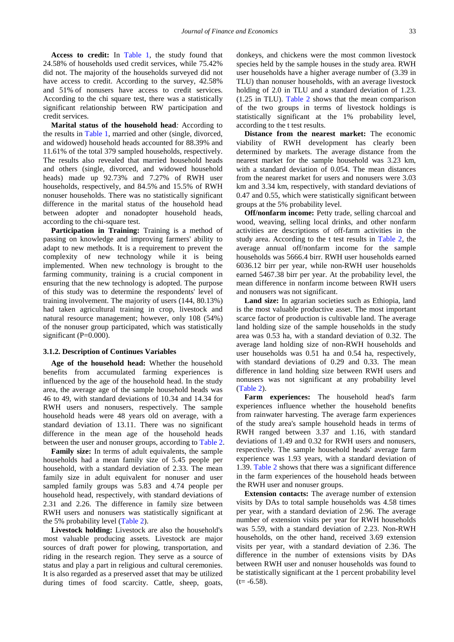**Access to credit:** In [Table 1,](#page-3-0) the study found that 24.58% of households used credit services, while 75.42% did not. The majority of the households surveyed did not have access to credit. According to the survey, 42.58% and 51% of nonusers have access to credit services. According to the chi square test, there was a statistically significant relationship between RW participation and credit services.

**Marital status of the household head***:* According to the results in [Table 1,](#page-3-0) married and other (single, divorced, and widowed) household heads accounted for 88.39% and 11.61% of the total 379 sampled households, respectively. The results also revealed that married household heads and others (single, divorced, and widowed household heads) made up 92.73% and 7.27% of RWH user households, respectively, and 84.5% and 15.5% of RWH nonuser households. There was no statistically significant difference in the marital status of the household head between adopter and nonadopter household heads, according to the chi-square test.

**Participation in Training:** Training is a method of passing on knowledge and improving farmers' ability to adapt to new methods. It is a requirement to prevent the complexity of new technology while it is being implemented. When new technology is brought to the farming community, training is a crucial component in ensuring that the new technology is adopted. The purpose of this study was to determine the respondents' level of training involvement. The majority of users (144, 80.13%) had taken agricultural training in crop, livestock and natural resource management; however, only 108 (54%) of the nonuser group participated, which was statistically significant (P=0.000).

#### **3.1.2. Description of Continues Variables**

**Age of the household head:** Whether the household benefits from accumulated farming experiences is influenced by the age of the household head. In the study area, the average age of the sample household heads was 46 to 49, with standard deviations of 10.34 and 14.34 for RWH users and nonusers, respectively. The sample household heads were 48 years old on average, with a standard deviation of 13.11. There was no significant difference in the mean age of the household heads between the user and nonuser groups, according to [Table 2.](#page-5-0)

**Family size:** In terms of adult equivalents, the sample households had a mean family size of 5.45 people per household, with a standard deviation of 2.33. The mean family size in adult equivalent for nonuser and user sampled family groups was 5.83 and 4.74 people per household head, respectively, with standard deviations of 2.31 and 2.26. The difference in family size between RWH users and nonusers was statistically significant at the 5% probability level [\(Table 2\)](#page-5-0).

**Livestock holding:** Livestock are also the household's most valuable producing assets. Livestock are major sources of draft power for plowing, transportation, and riding in the research region. They serve as a source of status and play a part in religious and cultural ceremonies. It is also regarded as a preserved asset that may be utilized during times of food scarcity. Cattle, sheep, goats,

donkeys, and chickens were the most common livestock species held by the sample houses in the study area. RWH user households have a higher average number of (3.39 in TLU) than nonuser households, with an average livestock holding of 2.0 in TLU and a standard deviation of 1.23. (1.25 in TLU). [Table 2](#page-5-0) shows that the mean comparison of the two groups in terms of livestock holdings is statistically significant at the 1% probability level, according to the t test results.

**Distance from the nearest market:** The economic viability of RWH development has clearly been determined by markets. The average distance from the nearest market for the sample household was 3.23 km, with a standard deviation of 0.054. The mean distances from the nearest market for users and nonusers were 3.03 km and 3.34 km, respectively, with standard deviations of 0.47 and 0.55, which were statistically significant between groups at the 5% probability level.

**Off/nonfarm income:** Petty trade, selling charcoal and wood, weaving, selling local drinks, and other nonfarm activities are descriptions of off-farm activities in the study area. According to the t test results in [Table 2,](#page-5-0) the average annual off/nonfarm income for the sample households was 5666.4 birr. RWH user households earned 6036.12 birr per year, while non-RWH user households earned 5467.38 birr per year. At the probability level, the mean difference in nonfarm income between RWH users and nonusers was not significant.

**Land size:** In agrarian societies such as Ethiopia, land is the most valuable productive asset. The most important scarce factor of production is cultivable land. The average land holding size of the sample households in the study area was 0.53 ha, with a standard deviation of 0.32. The average land holding size of non-RWH households and user households was 0.51 ha and 0.54 ha, respectively, with standard deviations of 0.29 and 0.33. The mean difference in land holding size between RWH users and nonusers was not significant at any probability level [\(Table 2\)](#page-5-0).

**Farm experiences:** The household head's farm experiences influence whether the household benefits from rainwater harvesting. The average farm experiences of the study area's sample household heads in terms of RWH ranged between 3.37 and 1.16, with standard deviations of 1.49 and 0.32 for RWH users and nonusers, respectively. The sample household heads' average farm experience was 1.93 years, with a standard deviation of 1.39. [Table 2](#page-5-0) shows that there was a significant difference in the farm experiences of the household heads between the RWH user and nonuser groups.

**Extension contacts:** The average number of extension visits by DAs to total sample households was 4.58 times per year, with a standard deviation of 2.96. The average number of extension visits per year for RWH households was 5.59, with a standard deviation of 2.23. Non-RWH households, on the other hand, received 3.69 extension visits per year, with a standard deviation of 2.36. The difference in the number of extensions visits by DAs between RWH user and nonuser households was found to be statistically significant at the 1 percent probability level  $(t=-6.58)$ .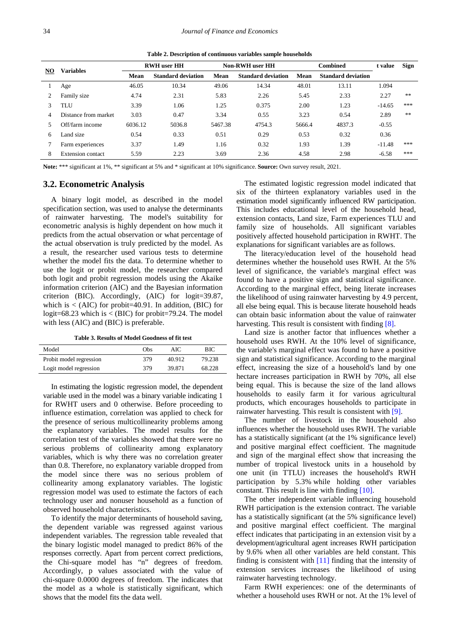**Table 2. Description of continuous variables sample households**

<span id="page-5-0"></span>

|    | <b>Variables</b>     | <b>RWH</b> user <b>HH</b> |                           | Non-RWH user HH |                           | <b>Combined</b> |                           | t value  | <b>Sign</b> |
|----|----------------------|---------------------------|---------------------------|-----------------|---------------------------|-----------------|---------------------------|----------|-------------|
| NO |                      | Mean                      | <b>Standard deviation</b> | Mean            | <b>Standard deviation</b> | Mean            | <b>Standard deviation</b> |          |             |
|    | Age                  | 46.05                     | 10.34                     | 49.06           | 14.34                     | 48.01           | 13.11                     | 1.094    |             |
| 2  | Family size          | 4.74                      | 2.31                      | 5.83            | 2.26                      | 5.45            | 2.33                      | 2.27     | **          |
| 3  | <b>TLU</b>           | 3.39                      | 1.06                      | 1.25            | 0.375                     | 2.00            | 1.23                      | $-14.65$ | ***         |
| 4  | Distance from market | 3.03                      | 0.47                      | 3.34            | 0.55                      | 3.23            | 0.54                      | 2.89     | **          |
|    | Off/farm income      | 6036.12                   | 5036.8                    | 5467.38         | 4754.3                    | 5666.4          | 4837.3                    | $-0.55$  |             |
| 6  | Land size            | 0.54                      | 0.33                      | 0.51            | 0.29                      | 0.53            | 0.32                      | 0.36     |             |
|    | Farm experiences     | 3.37                      | 1.49                      | 1.16            | 0.32                      | 1.93            | 1.39                      | $-11.48$ | ***         |
| 8  | Extension contact    | 5.59                      | 2.23                      | 3.69            | 2.36                      | 4.58            | 2.98                      | $-6.58$  | ***         |

**Note:** \*\*\* significant at 1%, \*\* significant at 5% and \* significant at 10% significance. **Source:** Own survey result, 2021.

## **3.2. Econometric Analysis**

A binary logit model, as described in the model specification section, was used to analyse the determinants of rainwater harvesting. The model's suitability for econometric analysis is highly dependent on how much it predicts from the actual observation or what percentage of the actual observation is truly predicted by the model. As a result, the researcher used various tests to determine whether the model fits the data. To determine whether to use the logit or probit model, the researcher compared both logit and probit regression models using the Akaike information criterion (AIC) and the Bayesian information criterion (BIC). Accordingly, (AIC) for logit=39.87, which is  $\lt$  (AIC) for probit=40.91. In addition, (BIC) for logit=68.23 which is < (BIC) for probit=79.24. The model with less (AIC) and (BIC) is preferable.

**Table 3. Results of Model Goodness of fit test**

| Model                   | Obs | AIC.   | BЮ     |
|-------------------------|-----|--------|--------|
| Probit model regression | 379 | 40.912 | 79.238 |
| Logit model regression  | 379 | 39.871 | 68.228 |

In estimating the logistic regression model, the dependent variable used in the model was a binary variable indicating 1 for RWHT users and 0 otherwise. Before proceeding to influence estimation, correlation was applied to check for the presence of serious multicollinearity problems among the explanatory variables. The model results for the correlation test of the variables showed that there were no serious problems of collinearity among explanatory variables, which is why there was no correlation greater than 0.8. Therefore, no explanatory variable dropped from the model since there was no serious problem of collinearity among explanatory variables. The logistic regression model was used to estimate the factors of each technology user and nonuser household as a function of observed household characteristics.

To identify the major determinants of household saving, the dependent variable was regressed against various independent variables. The regression table revealed that the binary logistic model managed to predict 86% of the responses correctly. Apart from percent correct predictions, the Chi-square model has "n" degrees of freedom. Accordingly, p values associated with the value of chi-square 0.0000 degrees of freedom. The indicates that the model as a whole is statistically significant, which shows that the model fits the data well.

The estimated logistic regression model indicated that six of the thirteen explanatory variables used in the estimation model significantly influenced RW participation. This includes educational level of the household head, extension contacts, Land size, Farm experiences TLU and family size of households. All significant variables positively affected household participation in RWHT. The explanations for significant variables are as follows.

The literacy/education level of the household head determines whether the household uses RWH. At the 5% level of significance, the variable's marginal effect was found to have a positive sign and statistical significance. According to the marginal effect, being literate increases the likelihood of using rainwater harvesting by 4.9 percent, all else being equal. This is because literate household heads can obtain basic information about the value of rainwater harvesting. This result is consistent with finding [\[8\].](#page-7-7)

Land size is another factor that influences whether a household uses RWH. At the 10% level of significance, the variable's marginal effect was found to have a positive sign and statistical significance. According to the marginal effect, increasing the size of a household's land by one hectare increases participation in RWH by 70%, all else being equal. This is because the size of the land allows households to easily farm it for various agricultural products, which encourages households to participate in rainwater harvesting. This result is consistent with [\[9\].](#page-7-8)

The number of livestock in the household also influences whether the household uses RWH. The variable has a statistically significant (at the 1% significance level) and positive marginal effect coefficient. The magnitude and sign of the marginal effect show that increasing the number of tropical livestock units in a household by one unit (in TTLU) increases the household's RWH participation by 5.3% while holding other variables constant. This result is line with finding [\[10\].](#page-7-9) 

The other independent variable influencing household RWH participation is the extension contract. The variable has a statistically significant (at the 5% significance level) and positive marginal effect coefficient. The marginal effect indicates that participating in an extension visit by a development/agricultural agent increases RWH participation by 9.6% when all other variables are held constant. This finding is consistent with [\[11\]](#page-7-10) finding that the intensity of extension services increases the likelihood of using rainwater harvesting technology.

Farm RWH experiences: one of the determinants of whether a household uses RWH or not. At the 1% level of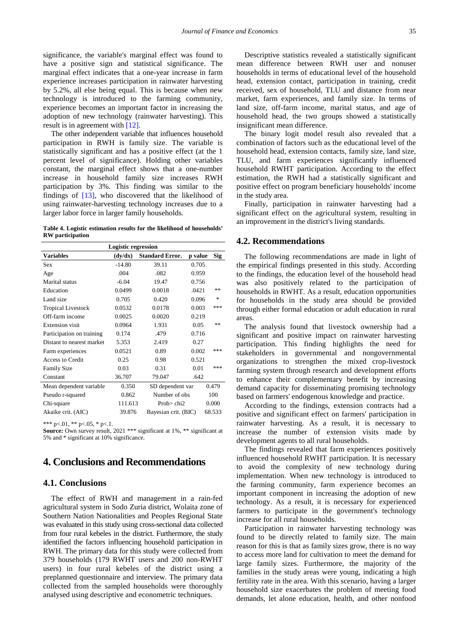significance, the variable's marginal effect was found to have a positive sign and statistical significance. The marginal effect indicates that a one-year increase in farm experience increases participation in rainwater harvesting by 5.2%, all else being equal. This is because when new technology is introduced to the farming community, experience becomes an important factor in increasing the adoption of new technology (rainwater harvesting). This result is in agreement with [\[12\].](#page-7-11)

The other independent variable that influences household participation in RWH is family size. The variable is statistically significant and has a positive effect (at the 1 percent level of significance). Holding other variables constant, the marginal effect shows that a one-number increase in household family size increases RWH participation by 3%. This finding was similar to the findings of [\[13\],](#page-7-12) who discovered that the likelihood of using rainwater-harvesting technology increases due to a larger labor force in larger family households.

**Table 4. Logistic estimation results for the likelihood of households' RW participation**

| <b>Logistic regression</b> |          |                        |         |            |  |  |  |  |
|----------------------------|----------|------------------------|---------|------------|--|--|--|--|
| <b>Variables</b>           | (dy/dx)  | <b>Standard Error.</b> | p value | <b>Sig</b> |  |  |  |  |
| <b>Sex</b>                 | $-14.80$ | 39.11                  | 0.705   |            |  |  |  |  |
| Age                        | .004     | .082                   | 0.959   |            |  |  |  |  |
| Marital status             | $-6.04$  | 19.47                  | 0.756   |            |  |  |  |  |
| Education                  | 0.0499   | 0.0018                 | .0421   | **         |  |  |  |  |
| Land size                  | 0.705    | 0.420                  | 0.096   | *          |  |  |  |  |
| <b>Tropical Livestock</b>  | 0.0532   | 0.0178                 | 0.003   | ***        |  |  |  |  |
| Off-farm income            | 0.0025   | 0.0020                 | 0.219   |            |  |  |  |  |
| <b>Extension</b> visit     | 0.0964   | 1.931                  | 0.05    | **         |  |  |  |  |
| Participation on training  | 0.174    | .479                   | 0.716   |            |  |  |  |  |
| Distant to nearest market  | 5.353    | 2.419                  | 0.27    |            |  |  |  |  |
| Farm experiences           | 0.0521   | 0.89                   | 0.002   | ***        |  |  |  |  |
| Access to Credit           | 0.25     | 0.98                   | 0.521   |            |  |  |  |  |
| <b>Family Size</b>         | 0.03     | 0.31                   | 0.01    | ***        |  |  |  |  |
| Constant                   | 36.707   | 79.047                 | .642    |            |  |  |  |  |
| Mean dependent variable    | 0.350    | SD dependent var       |         | 0.479      |  |  |  |  |
| Pseudo r-squared           | 0.862    | Number of obs          |         | 100        |  |  |  |  |
| Chi-square                 | 111.613  | Prob $>$ chi2          |         | 0.000      |  |  |  |  |
| Akaike crit. (AIC)         | 39.876   | Bayesian crit. (BIC)   |         | 68.533     |  |  |  |  |

\*\*\* p<.01, \*\* p<.05, \* p<.1.

**Source:** Own survey result, 2021 \*\*\* significant at 1%, \*\* significant at 5% and \* significant at 10% significance.

## **4. Conclusions and Recommendations**

## **4.1. Conclusions**

The effect of RWH and management in a rain-fed agricultural system in Sodo Zuria district, Wolaita zone of Southern Nation Nationalities and Peoples Regional State was evaluated in this study using cross-sectional data collected from four rural kebeles in the district. Furthermore, the study identified the factors influencing household participation in RWH. The primary data for this study were collected from 379 households (179 RWHT users and 200 non-RWHT users) in four rural kebeles of the district using a preplanned questionnaire and interview. The primary data collected from the sampled households were thoroughly analysed using descriptive and econometric techniques.

Descriptive statistics revealed a statistically significant mean difference between RWH user and nonuser households in terms of educational level of the household head, extension contact, participation in training, credit received, sex of household, TLU and distance from near market, farm experiences, and family size. In terms of land size, off-farm income, marital status, and age of household head, the two groups showed a statistically insignificant mean difference.

The binary logit model result also revealed that a combination of factors such as the educational level of the household head, extension contacts, family size, land size, TLU, and farm experiences significantly influenced household RWHT participation. According to the effect estimation, the RWH had a statistically significant and positive effect on program beneficiary households' income in the study area.

Finally, participation in rainwater harvesting had a significant effect on the agricultural system, resulting in an improvement in the district's living standards.

#### **4.2. Recommendations**

The following recommendations are made in light of the empirical findings presented in this study. According to the findings, the education level of the household head was also positively related to the participation of households in RWHT. As a result, education opportunities for households in the study area should be provided through either formal education or adult education in rural areas.

The analysis found that livestock ownership had a significant and positive impact on rainwater harvesting participation. This finding highlights the need for stakeholders in governmental and nongovernmental organizations to strengthen the mixed crop-livestock farming system through research and development efforts to enhance their complementary benefit by increasing demand capacity for disseminating promising technology based on farmers' endogenous knowledge and practice.

According to the findings, extension contracts had a positive and significant effect on farmers' participation in rainwater harvesting. As a result, it is necessary to increase the number of extension visits made by development agents to all rural households.

The findings revealed that farm experiences positively influenced household RWHT participation. It is necessary to avoid the complexity of new technology during implementation. When new technology is introduced to the farming community, farm experience becomes an important component in increasing the adoption of new technology. As a result, it is necessary for experienced farmers to participate in the government's technology increase for all rural households.

Participation in rainwater harvesting technology was found to be directly related to family size. The main reason for this is that as family sizes grow, there is no way to access more land for cultivation to meet the demand for large family sizes. Furthermore, the majority of the families in the study areas were young, indicating a high fertility rate in the area. With this scenario, having a larger household size exacerbates the problem of meeting food demands, let alone education, health, and other nonfood